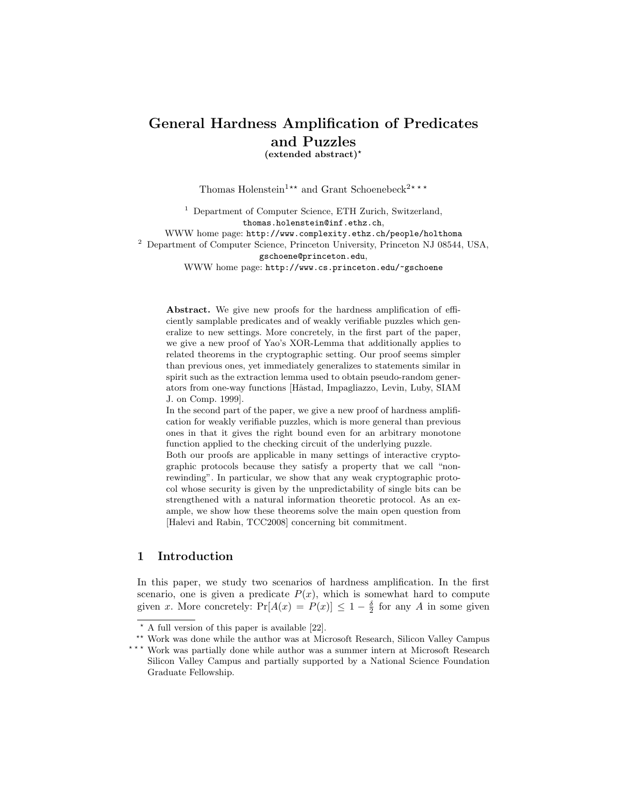# General Hardness Amplification of Predicates and Puzzles

(extended abstract)?

Thomas Holenstein<sup>1\*\*</sup> and Grant Schoenebeck<sup>2\*\*\*</sup>

<sup>1</sup> Department of Computer Science, ETH Zurich, Switzerland, thomas.holenstein@inf.ethz.ch, WWW home page: http://www.complexity.ethz.ch/people/holthoma <sup>2</sup> Department of Computer Science, Princeton University, Princeton NJ 08544, USA, gschoene@princeton.edu, WWW home page: http://www.cs.princeton.edu/~gschoene

Abstract. We give new proofs for the hardness amplification of efficiently samplable predicates and of weakly verifiable puzzles which generalize to new settings. More concretely, in the first part of the paper, we give a new proof of Yao's XOR-Lemma that additionally applies to related theorems in the cryptographic setting. Our proof seems simpler than previous ones, yet immediately generalizes to statements similar in spirit such as the extraction lemma used to obtain pseudo-random generators from one-way functions [Håstad, Impagliazzo, Levin, Luby, SIAM J. on Comp. 1999].

In the second part of the paper, we give a new proof of hardness amplification for weakly verifiable puzzles, which is more general than previous ones in that it gives the right bound even for an arbitrary monotone function applied to the checking circuit of the underlying puzzle.

Both our proofs are applicable in many settings of interactive cryptographic protocols because they satisfy a property that we call "nonrewinding". In particular, we show that any weak cryptographic protocol whose security is given by the unpredictability of single bits can be strengthened with a natural information theoretic protocol. As an example, we show how these theorems solve the main open question from [Halevi and Rabin, TCC2008] concerning bit commitment.

# 1 Introduction

In this paper, we study two scenarios of hardness amplification. In the first scenario, one is given a predicate  $P(x)$ , which is somewhat hard to compute given x. More concretely:  $Pr[A(x) = P(x)] \leq 1 - \frac{\delta}{2}$  for any A in some given

 $\star$  A full version of this paper is available [22].

<sup>\*\*</sup> Work was done while the author was at Microsoft Research, Silicon Valley Campus

<sup>\*\*\*</sup> Work was partially done while author was a summer intern at Microsoft Research Silicon Valley Campus and partially supported by a National Science Foundation Graduate Fellowship.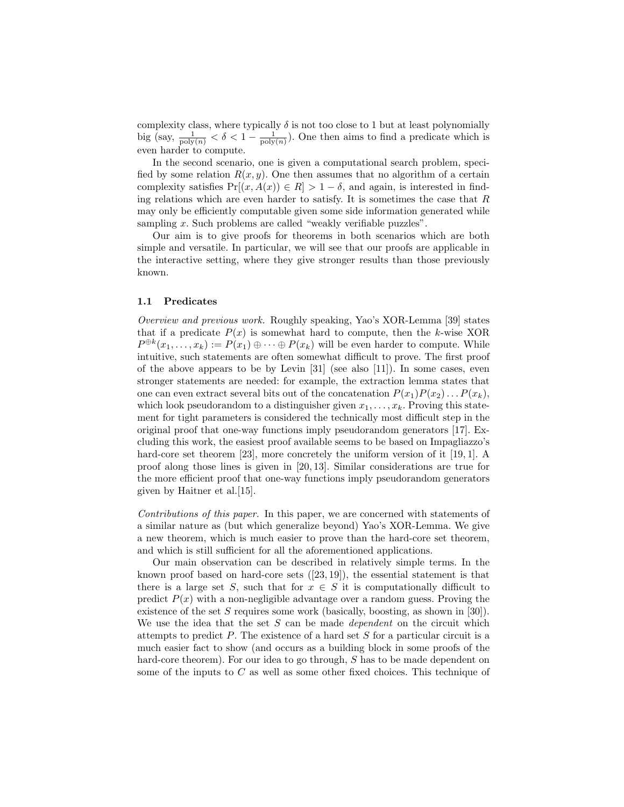complexity class, where typically  $\delta$  is not too close to 1 but at least polynomially big (say,  $\frac{1}{\text{poly}(n)} < \delta < 1 - \frac{1}{\text{poly}(n)}$ ). One then aims to find a predicate which is even harder to compute.

In the second scenario, one is given a computational search problem, specified by some relation  $R(x, y)$ . One then assumes that no algorithm of a certain complexity satisfies  $Pr[(x, A(x)) \in R] > 1 - \delta$ , and again, is interested in finding relations which are even harder to satisfy. It is sometimes the case that  $R$ may only be efficiently computable given some side information generated while sampling x. Such problems are called "weakly verifiable puzzles".

Our aim is to give proofs for theorems in both scenarios which are both simple and versatile. In particular, we will see that our proofs are applicable in the interactive setting, where they give stronger results than those previously known.

### 1.1 Predicates

Overview and previous work. Roughly speaking, Yao's XOR-Lemma [39] states that if a predicate  $P(x)$  is somewhat hard to compute, then the k-wise XOR  $P^{\oplus k}(x_1,\ldots,x_k) := P(x_1) \oplus \cdots \oplus P(x_k)$  will be even harder to compute. While intuitive, such statements are often somewhat difficult to prove. The first proof of the above appears to be by Levin [31] (see also [11]). In some cases, even stronger statements are needed: for example, the extraction lemma states that one can even extract several bits out of the concatenation  $P(x_1)P(x_2)...P(x_k)$ , which look pseudorandom to a distinguisher given  $x_1, \ldots, x_k$ . Proving this statement for tight parameters is considered the technically most difficult step in the original proof that one-way functions imply pseudorandom generators [17]. Excluding this work, the easiest proof available seems to be based on Impagliazzo's hard-core set theorem [23], more concretely the uniform version of it [19, 1]. A proof along those lines is given in [20, 13]. Similar considerations are true for the more efficient proof that one-way functions imply pseudorandom generators given by Haitner et al.[15].

Contributions of this paper. In this paper, we are concerned with statements of a similar nature as (but which generalize beyond) Yao's XOR-Lemma. We give a new theorem, which is much easier to prove than the hard-core set theorem, and which is still sufficient for all the aforementioned applications.

Our main observation can be described in relatively simple terms. In the known proof based on hard-core sets  $([23, 19])$ , the essential statement is that there is a large set S, such that for  $x \in S$  it is computationally difficult to predict  $P(x)$  with a non-negligible advantage over a random guess. Proving the existence of the set  $S$  requires some work (basically, boosting, as shown in [30]). We use the idea that the set S can be made *dependent* on the circuit which attempts to predict  $P$ . The existence of a hard set  $S$  for a particular circuit is a much easier fact to show (and occurs as a building block in some proofs of the hard-core theorem). For our idea to go through, S has to be made dependent on some of the inputs to C as well as some other fixed choices. This technique of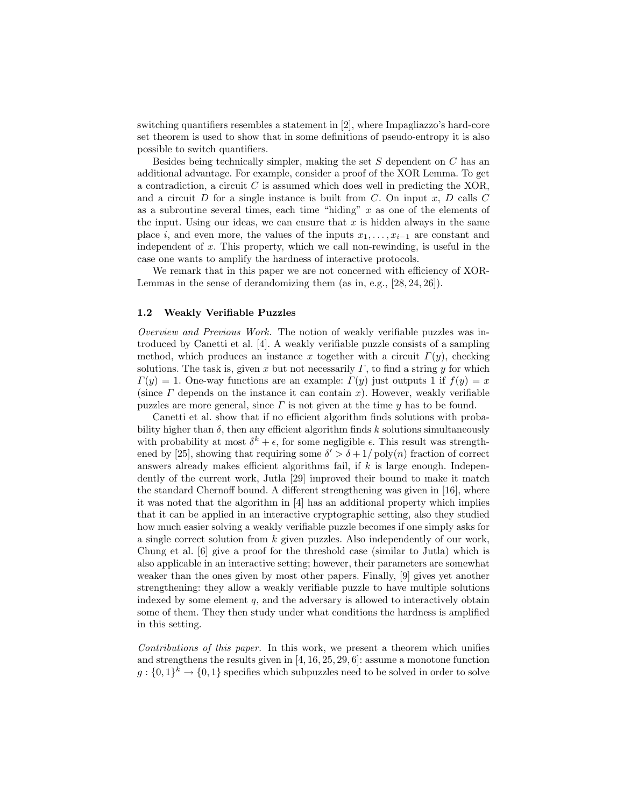switching quantifiers resembles a statement in [2], where Impagliazzo's hard-core set theorem is used to show that in some definitions of pseudo-entropy it is also possible to switch quantifiers.

Besides being technically simpler, making the set  $S$  dependent on  $C$  has an additional advantage. For example, consider a proof of the XOR Lemma. To get a contradiction, a circuit  $C$  is assumed which does well in predicting the XOR, and a circuit  $D$  for a single instance is built from  $C$ . On input  $x$ ,  $D$  calls  $C$ as a subroutine several times, each time "hiding"  $x$  as one of the elements of the input. Using our ideas, we can ensure that  $x$  is hidden always in the same place i, and even more, the values of the inputs  $x_1, \ldots, x_{i-1}$  are constant and independent of  $x$ . This property, which we call non-rewinding, is useful in the case one wants to amplify the hardness of interactive protocols.

We remark that in this paper we are not concerned with efficiency of XOR-Lemmas in the sense of derandomizing them (as in, e.g., [28, 24, 26]).

### 1.2 Weakly Verifiable Puzzles

Overview and Previous Work. The notion of weakly verifiable puzzles was introduced by Canetti et al. [4]. A weakly verifiable puzzle consists of a sampling method, which produces an instance x together with a circuit  $\Gamma(y)$ , checking solutions. The task is, given x but not necessarily  $\Gamma$ , to find a string y for which  $\Gamma(y) = 1$ . One-way functions are an example:  $\Gamma(y)$  just outputs 1 if  $f(y) = x$ (since  $\Gamma$  depends on the instance it can contain x). However, weakly verifiable puzzles are more general, since  $\Gamma$  is not given at the time  $y$  has to be found.

Canetti et al. show that if no efficient algorithm finds solutions with probability higher than  $\delta$ , then any efficient algorithm finds k solutions simultaneously with probability at most  $\delta^k + \epsilon$ , for some negligible  $\epsilon$ . This result was strengthened by [25], showing that requiring some  $\delta' > \delta + 1/\text{poly}(n)$  fraction of correct answers already makes efficient algorithms fail, if  $k$  is large enough. Independently of the current work, Jutla [29] improved their bound to make it match the standard Chernoff bound. A different strengthening was given in [16], where it was noted that the algorithm in [4] has an additional property which implies that it can be applied in an interactive cryptographic setting, also they studied how much easier solving a weakly verifiable puzzle becomes if one simply asks for a single correct solution from k given puzzles. Also independently of our work, Chung et al. [6] give a proof for the threshold case (similar to Jutla) which is also applicable in an interactive setting; however, their parameters are somewhat weaker than the ones given by most other papers. Finally, [9] gives yet another strengthening: they allow a weakly verifiable puzzle to have multiple solutions indexed by some element  $q$ , and the adversary is allowed to interactively obtain some of them. They then study under what conditions the hardness is amplified in this setting.

Contributions of this paper. In this work, we present a theorem which unifies and strengthens the results given in [4, 16, 25, 29, 6]: assume a monotone function  $g: \{0,1\}^k \to \{0,1\}$  specifies which subpuzzles need to be solved in order to solve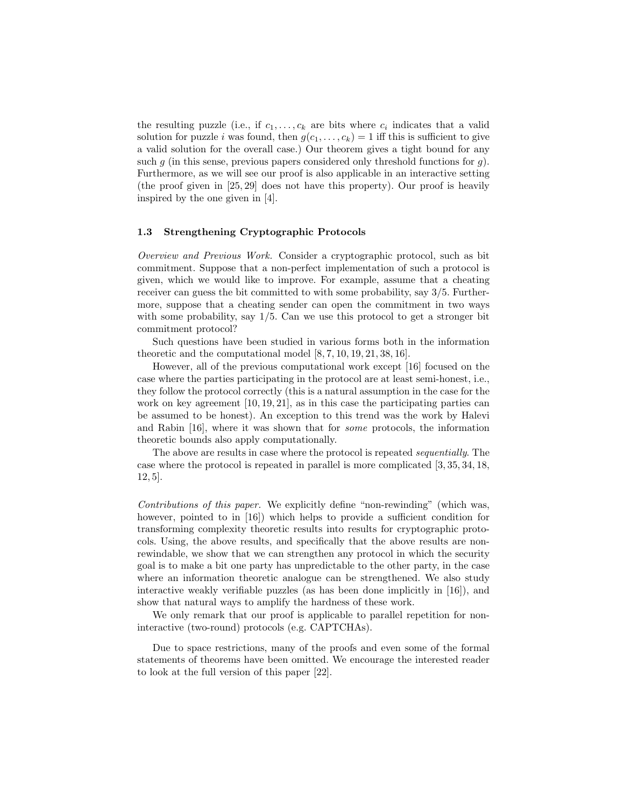the resulting puzzle (i.e., if  $c_1, \ldots, c_k$  are bits where  $c_i$  indicates that a valid solution for puzzle *i* was found, then  $g(c_1, \ldots, c_k) = 1$  iff this is sufficient to give a valid solution for the overall case.) Our theorem gives a tight bound for any such q (in this sense, previous papers considered only threshold functions for q). Furthermore, as we will see our proof is also applicable in an interactive setting (the proof given in [25, 29] does not have this property). Our proof is heavily inspired by the one given in [4].

### 1.3 Strengthening Cryptographic Protocols

Overview and Previous Work. Consider a cryptographic protocol, such as bit commitment. Suppose that a non-perfect implementation of such a protocol is given, which we would like to improve. For example, assume that a cheating receiver can guess the bit committed to with some probability, say 3/5. Furthermore, suppose that a cheating sender can open the commitment in two ways with some probability, say 1/5. Can we use this protocol to get a stronger bit commitment protocol?

Such questions have been studied in various forms both in the information theoretic and the computational model [8, 7, 10, 19, 21, 38, 16].

However, all of the previous computational work except [16] focused on the case where the parties participating in the protocol are at least semi-honest, i.e., they follow the protocol correctly (this is a natural assumption in the case for the work on key agreement [10, 19, 21], as in this case the participating parties can be assumed to be honest). An exception to this trend was the work by Halevi and Rabin [16], where it was shown that for some protocols, the information theoretic bounds also apply computationally.

The above are results in case where the protocol is repeated sequentially. The case where the protocol is repeated in parallel is more complicated [3, 35, 34, 18, 12, 5].

Contributions of this paper. We explicitly define "non-rewinding" (which was, however, pointed to in [16]) which helps to provide a sufficient condition for transforming complexity theoretic results into results for cryptographic protocols. Using, the above results, and specifically that the above results are nonrewindable, we show that we can strengthen any protocol in which the security goal is to make a bit one party has unpredictable to the other party, in the case where an information theoretic analogue can be strengthened. We also study interactive weakly verifiable puzzles (as has been done implicitly in [16]), and show that natural ways to amplify the hardness of these work.

We only remark that our proof is applicable to parallel repetition for noninteractive (two-round) protocols (e.g. CAPTCHAs).

Due to space restrictions, many of the proofs and even some of the formal statements of theorems have been omitted. We encourage the interested reader to look at the full version of this paper [22].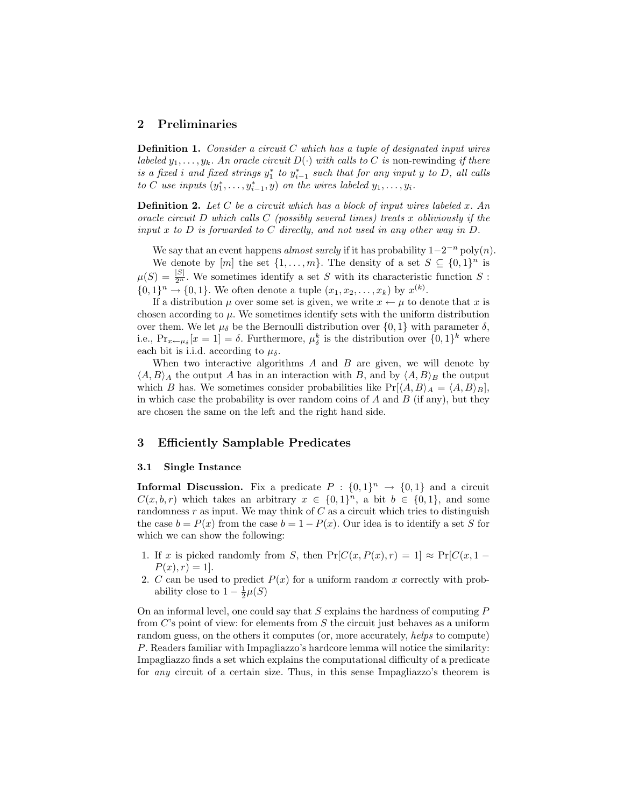# 2 Preliminaries

**Definition 1.** Consider a circuit  $C$  which has a tuple of designated input wires labeled  $y_1, \ldots, y_k$ . An oracle circuit  $D(\cdot)$  with calls to C is non-rewinding if there is a fixed i and fixed strings  $y_1^*$  to  $y_{i-1}^*$  such that for any input y to D, all calls to C use inputs  $(y_1^*, \ldots, y_{i-1}^*, y)$  on the wires labeled  $y_1, \ldots, y_i$ .

**Definition 2.** Let  $C$  be a circuit which has a block of input wires labeled  $x$ . An oracle circuit D which calls  $C$  (possibly several times) treats x obliviously if the input x to  $D$  is forwarded to  $C$  directly, and not used in any other way in  $D$ .

We say that an event happens *almost surely* if it has probability  $1-2^{-n}$  poly $(n)$ . We denote by  $[m]$  the set  $\{1, \ldots, m\}$ . The density of a set  $S \subseteq \{0,1\}^n$  is  $\mu(S) = \frac{|S|}{2^n}$ . We sometimes identify a set S with its characteristic function S:  $\{0,1\}^n \to \{0,1\}$ . We often denote a tuple  $(x_1, x_2, ..., x_k)$  by  $x^{(k)}$ .

If a distribution  $\mu$  over some set is given, we write  $x \leftarrow \mu$  to denote that x is chosen according to  $\mu$ . We sometimes identify sets with the uniform distribution over them. We let  $\mu_{\delta}$  be the Bernoulli distribution over  $\{0,1\}$  with parameter  $\delta$ , i.e.,  $Pr_{x \leftarrow \mu_{\delta}}[x = 1] = \delta$ . Furthermore,  $\mu_{\delta}^{k}$  is the distribution over  $\{0, 1\}^{k}$  where each bit is i.i.d. according to  $\mu_{\delta}$ .

When two interactive algorithms  $A$  and  $B$  are given, we will denote by  $\langle A, B \rangle_A$  the output A has in an interaction with B, and by  $\langle A, B \rangle_B$  the output which B has. We sometimes consider probabilities like  $Pr[\langle A, B \rangle_A = \langle A, B \rangle_B],$ in which case the probability is over random coins of  $A$  and  $B$  (if any), but they are chosen the same on the left and the right hand side.

### 3 Efficiently Samplable Predicates

#### 3.1 Single Instance

**Informal Discussion.** Fix a predicate  $P : \{0,1\}^n \to \{0,1\}$  and a circuit  $C(x, b, r)$  which takes an arbitrary  $x \in \{0, 1\}^n$ , a bit  $b \in \{0, 1\}$ , and some randomness r as input. We may think of  $C$  as a circuit which tries to distinguish the case  $b = P(x)$  from the case  $b = 1 - P(x)$ . Our idea is to identify a set S for which we can show the following:

- 1. If x is picked randomly from S, then  $Pr[C(x, P(x), r) = 1] \approx Pr[C(x, 1 P(x), r) = 1.$
- 2. C can be used to predict  $P(x)$  for a uniform random x correctly with probability close to  $1 - \frac{1}{2}\mu(S)$

On an informal level, one could say that  $S$  explains the hardness of computing  $P$ from C's point of view: for elements from S the circuit just behaves as a uniform random guess, on the others it computes (or, more accurately, helps to compute) P. Readers familiar with Impagliazzo's hardcore lemma will notice the similarity: Impagliazzo finds a set which explains the computational difficulty of a predicate for any circuit of a certain size. Thus, in this sense Impagliazzo's theorem is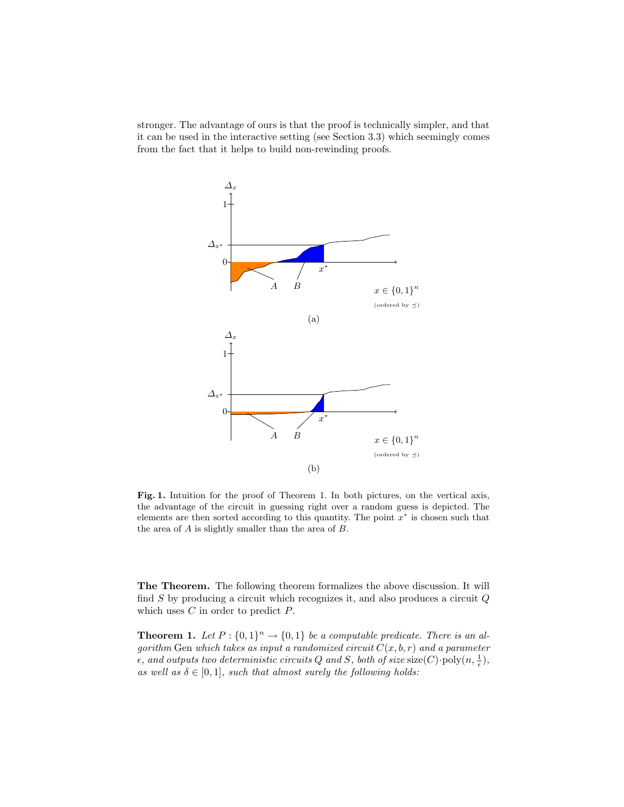stronger. The advantage of ours is that the proof is technically simpler, and that it can be used in the interactive setting (see Section 3.3) which seemingly comes from the fact that it helps to build non-rewinding proofs.



Fig. 1. Intuition for the proof of Theorem 1. In both pictures, on the vertical axis, the advantage of the circuit in guessing right over a random guess is depicted. The elements are then sorted according to this quantity. The point  $x^*$  is chosen such that the area of  $A$  is slightly smaller than the area of  $B$ .

The Theorem. The following theorem formalizes the above discussion. It will find  $S$  by producing a circuit which recognizes it, and also produces a circuit  $Q$ which uses  $C$  in order to predict  $P$ .

**Theorem 1.** Let  $P: \{0,1\}^n \to \{0,1\}$  be a computable predicate. There is an algorithm Gen which takes as input a randomized circuit  $C(x, b, r)$  and a parameter  $\epsilon$ , and outputs two deterministic circuits Q and S, both of size size(C) $\cdot$ poly $(n, \frac{1}{\epsilon})$ , as well as  $\delta \in [0,1]$ , such that almost surely the following holds: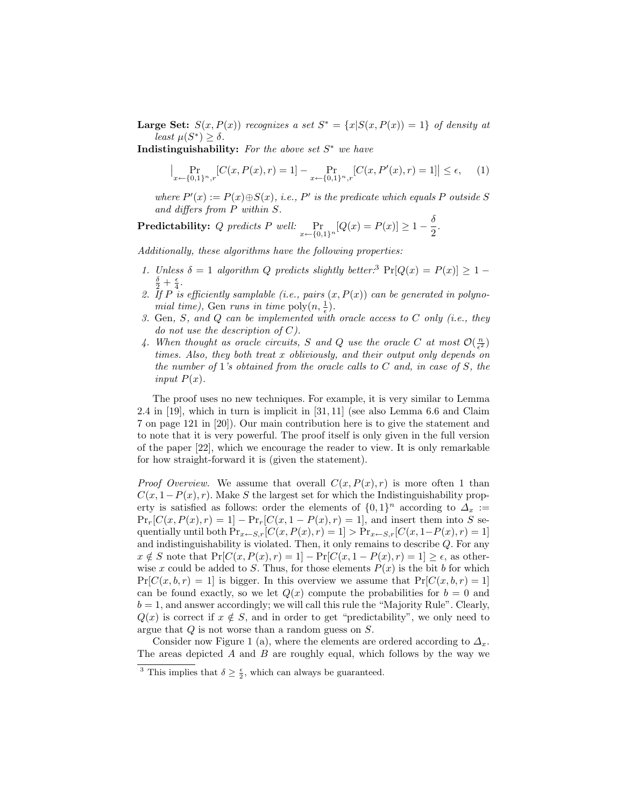**Large Set:**  $S(x, P(x))$  recognizes a set  $S^* = \{x | S(x, P(x)) = 1\}$  of density at least  $\mu(S^*) \geq \delta$ .

Indistinguishability: For the above set  $S^*$  we have

$$
\Big|\Pr_{x \leftarrow \{0,1\}^n, r} [C(x, P(x), r) = 1] - \Pr_{x \leftarrow \{0,1\}^n, r} [C(x, P'(x), r) = 1] \Big| \le \epsilon,
$$
 (1)

where  $P'(x) := P(x) \oplus S(x)$ , i.e.,  $P'$  is the predicate which equals P outside S and differs from P within S.

**Predictability:** Q predicts P well:  $\Pr_{x \leftarrow \{0,1\}^n} [Q(x) = P(x)] \ge 1 - \frac{\delta}{2}$  $\frac{6}{2}$ .

Additionally, these algorithms have the following properties:

- 1. Unless  $\delta = 1$  algorithm Q predicts slightly better:<sup>3</sup>  $Pr[Q(x) = P(x)] \ge 1 \frac{\delta}{2}+\frac{\epsilon}{4}.$
- 2. If P is efficiently samplable (i.e., pairs  $(x, P(x))$  can be generated in polynomial time), Gen runs in time  $\text{poly}(n, \frac{1}{\epsilon}).$
- 3. Gen, S, and Q can be implemented with oracle access to  $C$  only (i.e., they do not use the description of  $C$ ).
- 4. When thought as oracle circuits, S and Q use the oracle C at most  $\mathcal{O}(\frac{n}{\epsilon^2})$ times. Also, they both treat x obliviously, and their output only depends on the number of 1's obtained from the oracle calls to  $C$  and, in case of  $S$ , the input  $P(x)$ .

The proof uses no new techniques. For example, it is very similar to Lemma 2.4 in [19], which in turn is implicit in [31, 11] (see also Lemma 6.6 and Claim 7 on page 121 in [20]). Our main contribution here is to give the statement and to note that it is very powerful. The proof itself is only given in the full version of the paper [22], which we encourage the reader to view. It is only remarkable for how straight-forward it is (given the statement).

*Proof Overview.* We assume that overall  $C(x, P(x), r)$  is more often 1 than  $C(x, 1-P(x), r)$ . Make S the largest set for which the Indistinguishability property is satisfied as follows: order the elements of  $\{0,1\}^n$  according to  $\Delta_x :=$  $Pr_r[C(x, P(x), r) = 1] - Pr_r[C(x, 1 - P(x), r) = 1]$ , and insert them into S sequentially until both  $Pr_{x \leftarrow S,r}[C(x, P(x), r) = 1] > Pr_{x \leftarrow S,r}[C(x, 1-P(x), r) = 1]$ and indistinguishability is violated. Then, it only remains to describe Q. For any  $x \notin S$  note that  $Pr[C(x, P(x), r) = 1] - Pr[C(x, 1 - P(x), r) = 1] \ge \epsilon$ , as otherwise x could be added to S. Thus, for those elements  $P(x)$  is the bit b for which  $Pr[C(x, b, r) = 1]$  is bigger. In this overview we assume that  $Pr[C(x, b, r) = 1]$ can be found exactly, so we let  $Q(x)$  compute the probabilities for  $b = 0$  and  $b = 1$ , and answer accordingly; we will call this rule the "Majority Rule". Clearly,  $Q(x)$  is correct if  $x \notin S$ , and in order to get "predictability", we only need to argue that Q is not worse than a random guess on S.

Consider now Figure 1 (a), where the elements are ordered according to  $\Delta_x$ . The areas depicted  $A$  and  $B$  are roughly equal, which follows by the way we

<sup>&</sup>lt;sup>3</sup> This implies that  $\delta \geq \frac{\epsilon}{2}$ , which can always be guaranteed.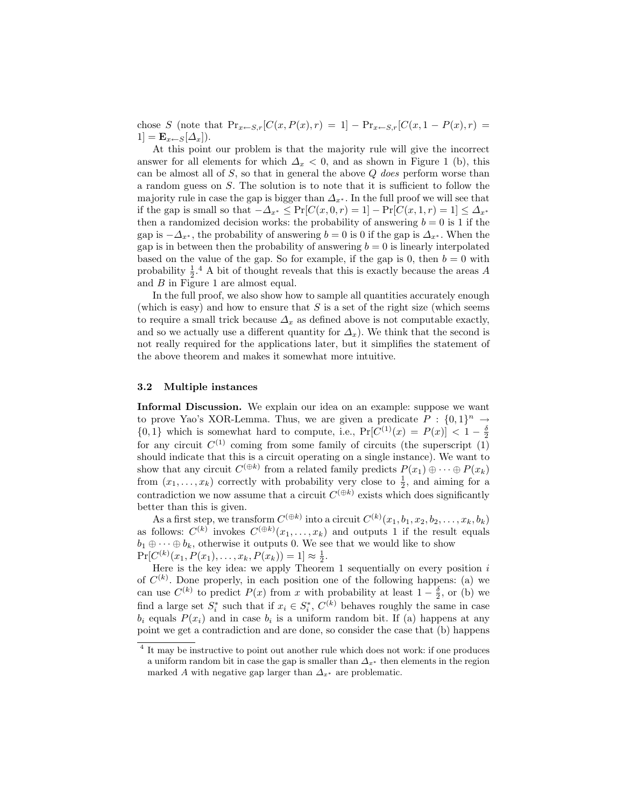chose S (note that  $Pr_{x \leftarrow S,r}[C(x, P(x), r) = 1] - Pr_{x \leftarrow S,r}[C(x, 1 - P(x), r) =$  $1 = \mathbf{E}_{x \leftarrow S}[\Delta_x].$ 

At this point our problem is that the majority rule will give the incorrect answer for all elements for which  $\Delta_x < 0$ , and as shown in Figure 1 (b), this can be almost all of  $S$ , so that in general the above  $Q$  does perform worse than a random guess on S. The solution is to note that it is sufficient to follow the majority rule in case the gap is bigger than  $\Delta_{x^*}$ . In the full proof we will see that if the gap is small so that  $-\Delta_{x^*} \leq \Pr[C(x, 0, r) = 1] - \Pr[C(x, 1, r) = 1] \leq \Delta_{x^*}$ then a randomized decision works: the probability of answering  $b = 0$  is 1 if the gap is  $-\Delta_{x^*}$ , the probability of answering  $b=0$  is 0 if the gap is  $\Delta_{x^*}$ . When the gap is in between then the probability of answering  $b = 0$  is linearly interpolated based on the value of the gap. So for example, if the gap is 0, then  $b = 0$  with probability  $\frac{1}{2}$ .<sup>4</sup> A bit of thought reveals that this is exactly because the areas A and B in Figure 1 are almost equal.

In the full proof, we also show how to sample all quantities accurately enough (which is easy) and how to ensure that  $S$  is a set of the right size (which seems to require a small trick because  $\Delta_x$  as defined above is not computable exactly, and so we actually use a different quantity for  $\Delta_x$ ). We think that the second is not really required for the applications later, but it simplifies the statement of the above theorem and makes it somewhat more intuitive.

### 3.2 Multiple instances

Informal Discussion. We explain our idea on an example: suppose we want to prove Yao's XOR-Lemma. Thus, we are given a predicate  $P: \{0,1\}^n \to$  ${0, 1}$  which is somewhat hard to compute, i.e.,  $Pr[C^{(1)}(x) = P(x)] < 1 - \frac{\delta}{2}$ for any circuit  $C^{(1)}$  coming from some family of circuits (the superscript (1) should indicate that this is a circuit operating on a single instance). We want to show that any circuit  $C^{(\oplus k)}$  from a related family predicts  $P(x_1) \oplus \cdots \oplus P(x_k)$ from  $(x_1, \ldots, x_k)$  correctly with probability very close to  $\frac{1}{2}$ , and aiming for a contradiction we now assume that a circuit  $C^{(\oplus k)}$  exists which does significantly better than this is given.

As a first step, we transform  $C^{(\oplus k)}$  into a circuit  $C^{(k)}(x_1, b_1, x_2, b_2, \ldots, x_k, b_k)$ as follows:  $C^{(k)}$  invokes  $C^{(\oplus k)}(x_1,\ldots,x_k)$  and outputs 1 if the result equals  $b_1 \oplus \cdots \oplus b_k$ , otherwise it outputs 0. We see that we would like to show  $Pr[C^{(k)}(x_1, P(x_1), \ldots, x_k, P(x_k)) = 1] \approx \frac{1}{2}.$ 

Here is the key idea: we apply Theorem 1 sequentially on every position  $i$ of  $C^{(k)}$ . Done properly, in each position one of the following happens: (a) we can use  $C^{(k)}$  to predict  $P(x)$  from x with probability at least  $1-\frac{\delta}{2}$ , or (b) we find a large set  $S_i^*$  such that if  $x_i \in S_i^*$ ,  $C^{(k)}$  behaves roughly the same in case  $b_i$  equals  $P(x_i)$  and in case  $b_i$  is a uniform random bit. If (a) happens at any point we get a contradiction and are done, so consider the case that (b) happens

<sup>&</sup>lt;sup>4</sup> It may be instructive to point out another rule which does not work: if one produces a uniform random bit in case the gap is smaller than  $\Delta_{x^*}$  then elements in the region marked A with negative gap larger than  $\Delta_{x^*}$  are problematic.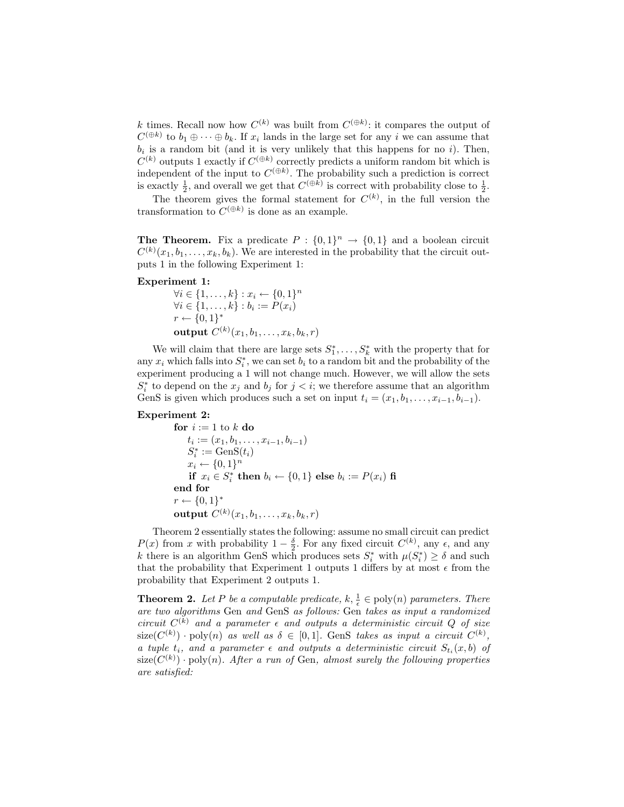k times. Recall now how  $C^{(k)}$  was built from  $C^{(\oplus k)}$ : it compares the output of  $C^{(\oplus k)}$  to  $b_1 \oplus \cdots \oplus b_k$ . If  $x_i$  lands in the large set for any i we can assume that  $b_i$  is a random bit (and it is very unlikely that this happens for no i). Then,  $C^{(k)}$  outputs 1 exactly if  $C^{(\oplus k)}$  correctly predicts a uniform random bit which is independent of the input to  $C^{(\oplus k)}$ . The probability such a prediction is correct is exactly  $\frac{1}{2}$ , and overall we get that  $C^{(\oplus k)}$  is correct with probability close to  $\frac{1}{2}$ .

The theorem gives the formal statement for  $C^{(k)}$ , in the full version the transformation to  $C^{(\oplus k)}$  is done as an example.

**The Theorem.** Fix a predicate  $P: \{0,1\}^n \to \{0,1\}$  and a boolean circuit  $C^{(k)}(x_1, b_1, \ldots, x_k, b_k)$ . We are interested in the probability that the circuit outputs 1 in the following Experiment 1:

#### Experiment 1:

 $\forall i \in \{1, ..., k\} : x_i \leftarrow \{0, 1\}^n$  $\forall i \in \{1, \ldots, k\} : b_i := P(x_i)$  $r \leftarrow \{0,1\}^*$  $\textbf{output}\; C^{(k)}(x_1,b_1,\ldots,x_k,b_k,r)$ 

We will claim that there are large sets  $S_1^*, \ldots, S_k^*$  with the property that for any  $x_i$  which falls into  $S_i^*$ , we can set  $b_i$  to a random bit and the probability of the experiment producing a 1 will not change much. However, we will allow the sets  $S_i^*$  to depend on the  $x_j$  and  $b_j$  for  $j < i$ ; we therefore assume that an algorithm GenS is given which produces such a set on input  $t_i = (x_1, b_1, \ldots, x_{i-1}, b_{i-1}).$ 

#### Experiment 2:

for 
$$
i := 1
$$
 to  $k$  do  
\n $t_i := (x_1, b_1, \ldots, x_{i-1}, b_{i-1})$   
\n $S_i^* := \text{GenS}(t_i)$   
\n $x_i \leftarrow \{0, 1\}^n$   
\nif  $x_i \in S_i^*$  then  $b_i \leftarrow \{0, 1\}$  else  $b_i := P(x_i)$  fi  
\nend for  
\n $r \leftarrow \{0, 1\}^*$   
\noutput  $C^{(k)}(x_1, b_1, \ldots, x_k, b_k, r)$ 

Theorem 2 essentially states the following: assume no small circuit can predict  $P(x)$  from x with probability  $1-\frac{\delta}{2}$ . For any fixed circuit  $C^{(k)}$ , any  $\epsilon$ , and any k there is an algorithm GenS which produces sets  $S_i^*$  with  $\mu(S_i^*) \geq \delta$  and such that the probability that Experiment 1 outputs 1 differs by at most  $\epsilon$  from the probability that Experiment 2 outputs 1.

**Theorem 2.** Let P be a computable predicate,  $k, \frac{1}{\epsilon} \in \text{poly}(n)$  parameters. There are two algorithms Gen and GenS as follows: Gen takes as input a randomized circuit  $C^{(k)}$  and a parameter  $\epsilon$  and outputs a deterministic circuit Q of size  $size(C^{(k)}) \cdot poly(n)$  as well as  $\delta \in [0,1]$ . GenS takes as input a circuit  $C^{(k)}$ , a tuple  $t_i$ , and a parameter  $\epsilon$  and outputs a deterministic circuit  $S_{t_i}(x, b)$  of  $size(C^{(k)}) \cdot poly(n)$ . After a run of Gen, almost surely the following properties are satisfied: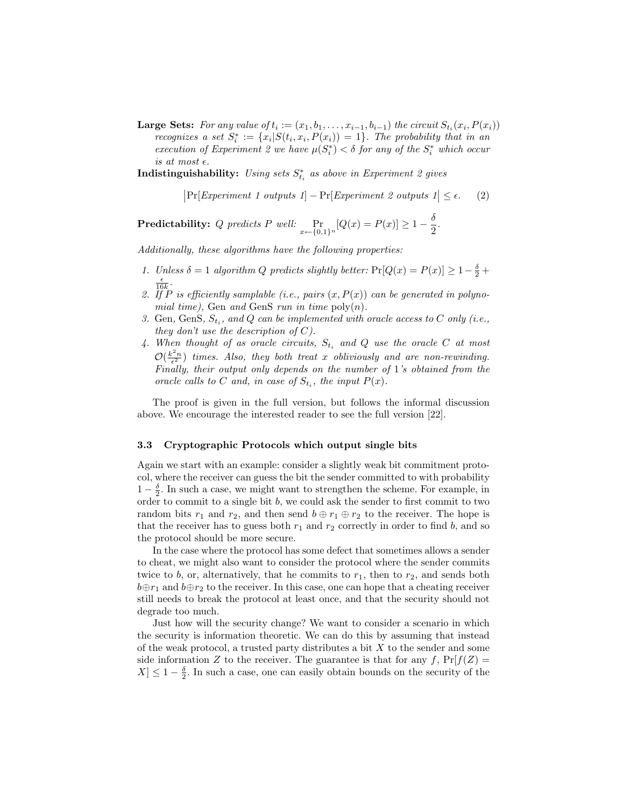**Large Sets:** For any value of  $t_i := (x_1, b_1, \ldots, x_{i-1}, b_{i-1})$  the circuit  $S_{t_i}(x_i, P(x_i))$ recognizes a set  $S_i^* := \{x_i | S(t_i, x_i, P(x_i)) = 1\}$ . The probability that in an execution of Experiment 2 we have  $\mu(S_i^*) < \delta$  for any of the  $S_i^*$  which occur is at most  $\epsilon$ .

Indistinguishability: Using sets  $S_{t_i}^*$  as above in Experiment 2 gives

$$
|\Pr[Experiment\ 1\ outputs\ 1] - \Pr[Experiment\ 2\ outputs\ 1] \le \epsilon. \tag{2}
$$

 $\textbf{Predictability:} \ \ Q \ \ \textit{predicts} \ \ P \ \ \textit{well:} \ \Pr_{x \leftarrow \{0,1\}^n}[Q(x) = P(x)] \geq 1 - \frac{\delta}{2}$  $\frac{5}{2}$ .

Additionally, these algorithms have the following properties:

- 1. Unless  $\delta = 1$  algorithm Q predicts slightly better:  $Pr[Q(x) = P(x)] \ge 1 \frac{\delta}{2} + \frac{\delta}{2}$  $\frac{\epsilon}{16k}$ .
- 2. If P is efficiently samplable (i.e., pairs  $(x, P(x))$  can be generated in polynomial time), Gen and GenS run in time  $\text{poly}(n)$ .
- 3. Gen, GenS,  $S_{t_i}$ , and Q can be implemented with oracle access to C only (i.e., they don't use the description of  $C$ ).
- 4. When thought of as oracle circuits,  $S_{t_i}$  and Q use the oracle C at most  $\mathcal{O}(\frac{k^2n}{\epsilon^2})$  times. Also, they both treat x obliviously and are non-rewinding. Finally, their output only depends on the number of 1's obtained from the oracle calls to C and, in case of  $S_{t_i}$ , the input  $P(x)$ .

The proof is given in the full version, but follows the informal discussion above. We encourage the interested reader to see the full version [22].

#### 3.3 Cryptographic Protocols which output single bits

Again we start with an example: consider a slightly weak bit commitment protocol, where the receiver can guess the bit the sender committed to with probability  $1-\frac{\delta}{2}$ . In such a case, we might want to strengthen the scheme. For example, in order to commit to a single bit  $b$ , we could ask the sender to first commit to two random bits  $r_1$  and  $r_2$ , and then send  $b \oplus r_1 \oplus r_2$  to the receiver. The hope is that the receiver has to guess both  $r_1$  and  $r_2$  correctly in order to find b, and so the protocol should be more secure.

In the case where the protocol has some defect that sometimes allows a sender to cheat, we might also want to consider the protocol where the sender commits twice to b, or, alternatively, that he commits to  $r_1$ , then to  $r_2$ , and sends both  $b \oplus r_1$  and  $b \oplus r_2$  to the receiver. In this case, one can hope that a cheating receiver still needs to break the protocol at least once, and that the security should not degrade too much.

Just how will the security change? We want to consider a scenario in which the security is information theoretic. We can do this by assuming that instead of the weak protocol, a trusted party distributes a bit  $X$  to the sender and some side information Z to the receiver. The guarantee is that for any f,  $Pr[f(Z)]$  $X \leq 1 - \frac{\delta}{2}$ . In such a case, one can easily obtain bounds on the security of the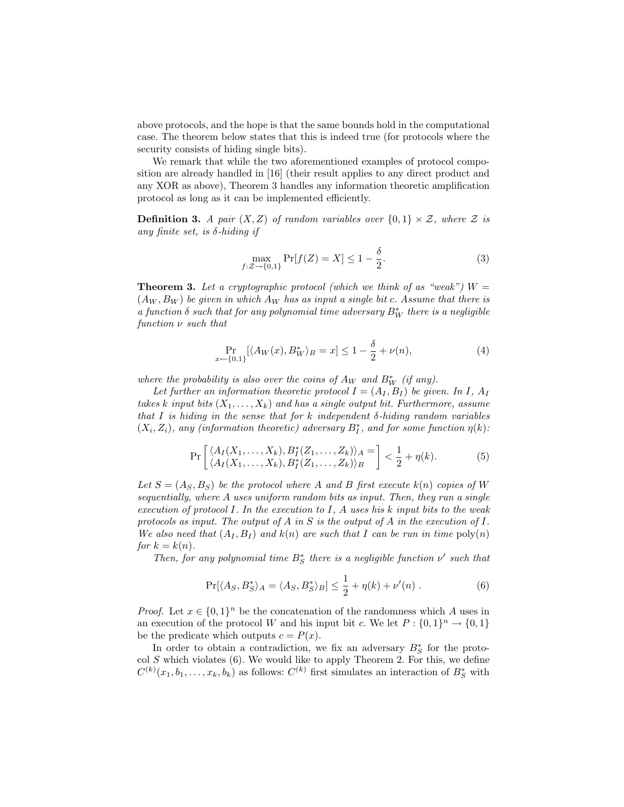above protocols, and the hope is that the same bounds hold in the computational case. The theorem below states that this is indeed true (for protocols where the security consists of hiding single bits).

We remark that while the two aforementioned examples of protocol composition are already handled in [16] (their result applies to any direct product and any XOR as above), Theorem 3 handles any information theoretic amplification protocol as long as it can be implemented efficiently.

**Definition 3.** A pair  $(X, Z)$  of random variables over  $\{0, 1\} \times Z$ , where Z is any finite set, is  $\delta$ -hiding if

$$
\max_{f:\mathcal{Z}\to\{0,1\}} \Pr[f(Z) = X] \le 1 - \frac{\delta}{2}.\tag{3}
$$

**Theorem 3.** Let a cryptographic protocol (which we think of as "weak")  $W =$  $(A_W, B_W)$  be given in which  $A_W$  has as input a single bit c. Assume that there is a function  $\delta$  such that for any polynomial time adversary  $B_W^*$  there is a negligible function  $\nu$  such that

$$
\Pr_{x \leftarrow \{0,1\}} [\langle A_W(x), B_W^* \rangle_B = x] \le 1 - \frac{\delta}{2} + \nu(n),\tag{4}
$$

where the probability is also over the coins of  $A_W$  and  $B_W^*$  (if any).

Let further an information theoretic protocol  $I = (A_I, B_I)$  be given. In I,  $A_I$ takes k input bits  $(X_1, \ldots, X_k)$  and has a single output bit. Furthermore, assume that I is hiding in the sense that for k independent  $\delta$ -hiding random variables  $(X_i, Z_i)$ , any (information theoretic) adversary  $B_I^*$ , and for some function  $\eta(k)$ :

$$
\Pr\left[\frac{\langle A_I(X_1,\ldots,X_k), B_I^*(Z_1,\ldots,Z_k)\rangle_A}{\langle A_I(X_1,\ldots,X_k), B_I^*(Z_1,\ldots,Z_k)\rangle_B}\right] < \frac{1}{2} + \eta(k). \tag{5}
$$

Let  $S = (A_S, B_S)$  be the protocol where A and B first execute  $k(n)$  copies of W sequentially, where A uses uniform random bits as input. Then, they run a single execution of protocol  $I$ . In the execution to  $I$ ,  $A$  uses his  $k$  input bits to the weak protocols as input. The output of A in S is the output of A in the execution of I. We also need that  $(A_I, B_I)$  and  $k(n)$  are such that I can be run in time  $poly(n)$ for  $k = k(n)$ .

Then, for any polynomial time  $B^*_{S}$  there is a negligible function  $\nu'$  such that

$$
\Pr[\langle A_S, B_S^* \rangle_A = \langle A_S, B_S^* \rangle_B] \le \frac{1}{2} + \eta(k) + \nu'(n) . \tag{6}
$$

*Proof.* Let  $x \in \{0,1\}^n$  be the concatenation of the randomness which A uses in an execution of the protocol W and his input bit c. We let  $P: \{0,1\}^n \to \{0,1\}$ be the predicate which outputs  $c = P(x)$ .

In order to obtain a contradiction, we fix an adversary  $B_S^*$  for the protocol  $S$  which violates (6). We would like to apply Theorem 2. For this, we define  $C^{(k)}(x_1, b_1, \ldots, x_k, b_k)$  as follows:  $C^{(k)}$  first simulates an interaction of  $B_S^*$  with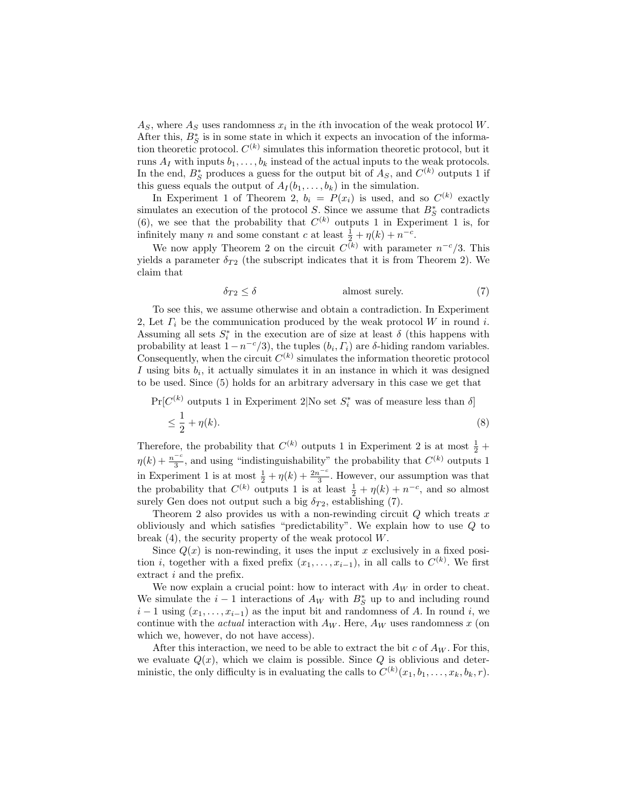$A<sub>S</sub>$ , where  $A<sub>S</sub>$  uses randomness  $x<sub>i</sub>$  in the *i*th invocation of the weak protocol W. After this,  $B_S^*$  is in some state in which it expects an invocation of the information theoretic protocol.  $C^{(k)}$  simulates this information theoretic protocol, but it runs  $A_I$  with inputs  $b_1, \ldots, b_k$  instead of the actual inputs to the weak protocols. In the end,  $B_S^*$  produces a guess for the output bit of  $A_S$ , and  $C^{(k)}$  outputs 1 if this guess equals the output of  $A_I(b_1, \ldots, b_k)$  in the simulation.

In Experiment 1 of Theorem 2,  $b_i = P(x_i)$  is used, and so  $C^{(k)}$  exactly simulates an execution of the protocol S. Since we assume that  $B_{S}^{*}$  contradicts (6), we see that the probability that  $C^{(k)}$  outputs 1 in Experiment 1 is, for infinitely many *n* and some constant *c* at least  $\frac{1}{2} + \eta(k) + n^{-c}$ .

We now apply Theorem 2 on the circuit  $C^{(k)}$  with parameter  $n^{-c}/3$ . This yields a parameter  $\delta_{T2}$  (the subscript indicates that it is from Theorem 2). We claim that

$$
\delta_{T2} \le \delta \tag{7}
$$

To see this, we assume otherwise and obtain a contradiction. In Experiment 2, Let  $\Gamma_i$  be the communication produced by the weak protocol W in round i. Assuming all sets  $S_i^*$  in the execution are of size at least  $\delta$  (this happens with probability at least  $1 - n^{-c}/3$ , the tuples  $(b_i, \Gamma_i)$  are  $\delta$ -hiding random variables. Consequently, when the circuit  $C^{(k)}$  simulates the information theoretic protocol I using bits  $b_i$ , it actually simulates it in an instance in which it was designed to be used. Since (5) holds for an arbitrary adversary in this case we get that

 $Pr[C^{(k)}]$  outputs 1 in Experiment 2|No set  $S_i^*$  was of measure less than  $\delta$ ]  $\leq \frac{1}{2}$  $\frac{1}{2} + \eta(k).$  (8)

Therefore, the probability that  $C^{(k)}$  outputs 1 in Experiment 2 is at most  $\frac{1}{2}$  +  $\eta(k) + \frac{n^{-c}}{3}$  $\frac{-c}{3}$ , and using "indistinguishability" the probability that  $C^{(k)}$  outputs 1 in Experiment 1 is at most  $\frac{1}{2} + \eta(k) + \frac{2n^{-c}}{3}$  $\frac{a^{-c}}{3}$ . However, our assumption was that the probability that  $C^{(k)}$  outputs 1 is at least  $\frac{1}{2} + \eta(k) + n^{-c}$ , and so almost surely Gen does not output such a big  $\delta_{T2}$ , establishing (7).

Theorem 2 also provides us with a non-rewinding circuit  $Q$  which treats x obliviously and which satisfies "predictability". We explain how to use Q to break  $(4)$ , the security property of the weak protocol  $W$ .

Since  $Q(x)$  is non-rewinding, it uses the input x exclusively in a fixed position *i*, together with a fixed prefix  $(x_1, \ldots, x_{i-1})$ , in all calls to  $C^{(k)}$ . We first extract *i* and the prefix.

We now explain a crucial point: how to interact with  $A_W$  in order to cheat. We simulate the  $i-1$  interactions of  $A_W$  with  $B_S^*$  up to and including round  $i-1$  using  $(x_1, \ldots, x_{i-1})$  as the input bit and randomness of A. In round i, we continue with the *actual* interaction with  $A_W$ . Here,  $A_W$  uses randomness x (on which we, however, do not have access).

After this interaction, we need to be able to extract the bit c of  $A_W$ . For this, we evaluate  $Q(x)$ , which we claim is possible. Since Q is oblivious and deterministic, the only difficulty is in evaluating the calls to  $C^{(k)}(x_1, b_1, \ldots, x_k, b_k, r)$ .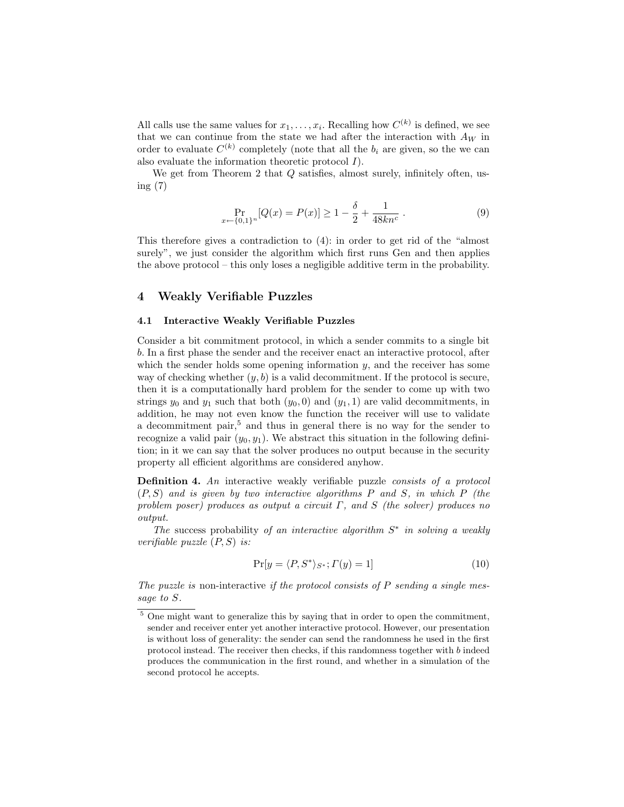All calls use the same values for  $x_1, \ldots, x_i$ . Recalling how  $C^{(k)}$  is defined, we see that we can continue from the state we had after the interaction with  $A_W$  in order to evaluate  $C^{(k)}$  completely (note that all the  $b_i$  are given, so the we can also evaluate the information theoretic protocol  $I$ ).

We get from Theorem 2 that  $Q$  satisfies, almost surely, infinitely often, using (7)

$$
\Pr_{x \leftarrow \{0,1\}^n} [Q(x) = P(x)] \ge 1 - \frac{\delta}{2} + \frac{1}{48kn^c} \,. \tag{9}
$$

This therefore gives a contradiction to (4): in order to get rid of the "almost surely", we just consider the algorithm which first runs Gen and then applies the above protocol – this only loses a negligible additive term in the probability.

# 4 Weakly Verifiable Puzzles

### 4.1 Interactive Weakly Verifiable Puzzles

Consider a bit commitment protocol, in which a sender commits to a single bit b. In a first phase the sender and the receiver enact an interactive protocol, after which the sender holds some opening information  $y$ , and the receiver has some way of checking whether  $(y, b)$  is a valid decommitment. If the protocol is secure, then it is a computationally hard problem for the sender to come up with two strings  $y_0$  and  $y_1$  such that both  $(y_0, 0)$  and  $(y_1, 1)$  are valid decommitments, in addition, he may not even know the function the receiver will use to validate a decommitment pair,<sup>5</sup> and thus in general there is no way for the sender to recognize a valid pair  $(y_0, y_1)$ . We abstract this situation in the following definition; in it we can say that the solver produces no output because in the security property all efficient algorithms are considered anyhow.

Definition 4. An interactive weakly verifiable puzzle consists of a protocol  $(P, S)$  and is given by two interactive algorithms P and S, in which P (the problem poser) produces as output a circuit  $\Gamma$ , and  $S$  (the solver) produces no output.

The success probability of an interactive algorithm  $S^*$  in solving a weakly verifiable puzzle  $(P, S)$  is:

$$
\Pr[y = \langle P, S^* \rangle_{S^*}; \Gamma(y) = 1]
$$
\n(10)

The puzzle is non-interactive if the protocol consists of  $P$  sending a single message to S.

<sup>&</sup>lt;sup>5</sup> One might want to generalize this by saying that in order to open the commitment, sender and receiver enter yet another interactive protocol. However, our presentation is without loss of generality: the sender can send the randomness he used in the first protocol instead. The receiver then checks, if this randomness together with  $b$  indeed produces the communication in the first round, and whether in a simulation of the second protocol he accepts.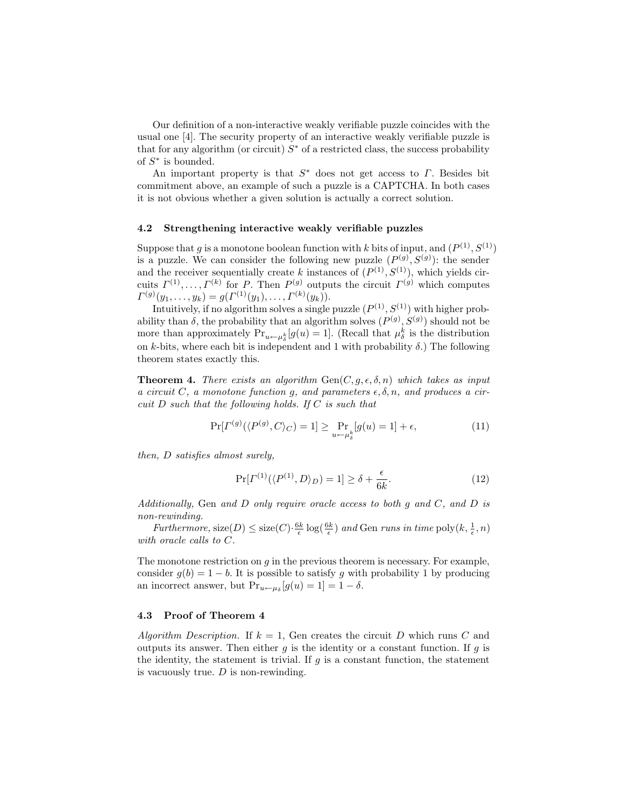Our definition of a non-interactive weakly verifiable puzzle coincides with the usual one [4]. The security property of an interactive weakly verifiable puzzle is that for any algorithm (or circuit)  $S^*$  of a restricted class, the success probability of  $S^*$  is bounded.

An important property is that  $S^*$  does not get access to  $\Gamma$ . Besides bit commitment above, an example of such a puzzle is a CAPTCHA. In both cases it is not obvious whether a given solution is actually a correct solution.

#### 4.2 Strengthening interactive weakly verifiable puzzles

Suppose that g is a monotone boolean function with k bits of input, and  $(P^{(1)}, S^{(1)})$ is a puzzle. We can consider the following new puzzle  $(P^{(g)}, S^{(g)})$ : the sender and the receiver sequentially create k instances of  $(P^{(1)}, S^{(1)})$ , which yields circuits  $\Gamma^{(1)}, \ldots, \Gamma^{(k)}$  for P. Then  $P^{(g)}$  outputs the circuit  $\Gamma^{(g)}$  which computes  $\Gamma^{(g)}(y_1,\ldots,y_k)=g(\Gamma^{(1)}(y_1),\ldots,\Gamma^{(k)}(y_k)).$ 

Intuitively, if no algorithm solves a single puzzle  $(P^{(1)}, S^{(1)})$  with higher probability than  $\delta$ , the probability that an algorithm solves  $(P^{(g)}, S^{(g)})$  should not be more than approximately  $Pr_{u \leftarrow \mu_{\delta}^{k}}[g(u) = 1]$ . (Recall that  $\mu_{\delta}^{k}$  is the distribution on k-bits, where each bit is independent and 1 with probability  $\delta$ .) The following theorem states exactly this.

**Theorem 4.** There exists an algorithm  $Gen(C, g, \epsilon, \delta, n)$  which takes as input a circuit C, a monotone function g, and parameters  $\epsilon, \delta, n$ , and produces a circuit  $D$  such that the following holds. If  $C$  is such that

$$
\Pr[\Gamma^{(g)}(\langle P^{(g)}, C \rangle_C) = 1] \ge \Pr_{u \leftarrow \mu_{\delta}^k} [g(u) = 1] + \epsilon,
$$
\n(11)

then, D satisfies almost surely,

$$
\Pr[\Gamma^{(1)}(\langle P^{(1)}, D \rangle_D) = 1] \ge \delta + \frac{\epsilon}{6k}.\tag{12}
$$

Additionally, Gen and D only require oracle access to both g and C, and D is non-rewinding.

Furthermore,  $size(D) \leq size(C) \cdot \frac{6k}{\epsilon} \log(\frac{6k}{\epsilon})$  and Gen runs in time  $poly(k, \frac{1}{\epsilon}, n)$ with oracle calls to C.

The monotone restriction on  $g$  in the previous theorem is necessary. For example, consider  $g(b) = 1 - b$ . It is possible to satisfy g with probability 1 by producing an incorrect answer, but  $Pr_{u \leftarrow \mu_{\delta}}[g(u) = 1] = 1 - \delta$ .

### 4.3 Proof of Theorem 4

Algorithm Description. If  $k = 1$ , Gen creates the circuit D which runs C and outputs its answer. Then either  $q$  is the identity or a constant function. If  $q$  is the identity, the statement is trivial. If  $g$  is a constant function, the statement is vacuously true.  $D$  is non-rewinding.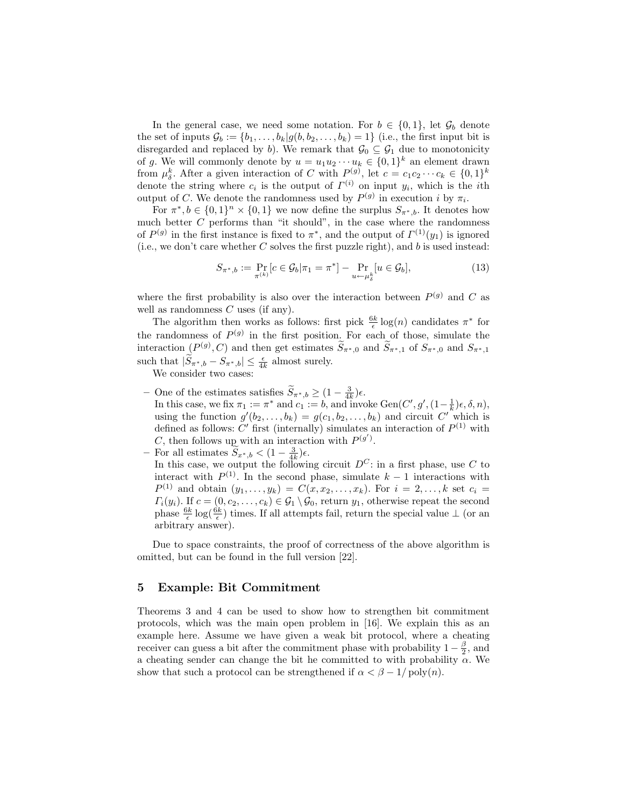In the general case, we need some notation. For  $b \in \{0,1\}$ , let  $\mathcal{G}_b$  denote the set of inputs  $\mathcal{G}_b := \{b_1, \ldots, b_k | g(b, b_2, \ldots, b_k) = 1\}$  (i.e., the first input bit is disregarded and replaced by b). We remark that  $\mathcal{G}_0 \subseteq \mathcal{G}_1$  due to monotonicity of g. We will commonly denote by  $u = u_1 u_2 \cdots u_k \in \{0,1\}^k$  an element drawn from  $\mu_{\delta}^k$ . After a given interaction of C with  $P_{(g)}^{(g)}$ , let  $c = c_1 c_2 \cdots c_k \in \{0,1\}^k$ denote the string where  $c_i$  is the output of  $\Gamma^{(i)}$  on input  $y_i$ , which is the *i*th output of C. We denote the randomness used by  $P^{(g)}$  in execution i by  $\pi_i$ .

For  $\pi^*, b \in \{0,1\}^n \times \{0,1\}$  we now define the surplus  $S_{\pi^*,b}$ . It denotes how much better  $C$  performs than "it should", in the case where the randomness of  $P^{(g)}$  in the first instance is fixed to  $\pi^*$ , and the output of  $\Gamma^{(1)}(y_1)$  is ignored (i.e., we don't care whether  $C$  solves the first puzzle right), and  $b$  is used instead:

$$
S_{\pi^*,b} := \Pr_{\pi^{(k)}}[c \in \mathcal{G}_b | \pi_1 = \pi^*] - \Pr_{u \leftarrow \mu^k_\delta}[u \in \mathcal{G}_b],
$$
\n(13)

where the first probability is also over the interaction between  $P^{(g)}$  and C as well as randomness C uses (if any).

The algorithm then works as follows: first pick  $\frac{6k}{\epsilon} \log(n)$  candidates  $\pi^*$  for the randomness of  $P<sup>(g)</sup>$  in the first position. For each of those, simulate the interaction  $(P^{(g)}, C)$  and then get estimates  $\widetilde{S}_{\pi^*,0}$  and  $\widetilde{S}_{\pi^*,1}$  of  $S_{\pi^*,0}$  and  $S_{\pi^*,1}$ such that  $|\widetilde{S}_{\pi^*,b} - S_{\pi^*,b}| \leq \frac{\epsilon}{4k}$  almost surely.

We consider two cases:

– One of the estimates satisfies  $\widetilde{S}_{\pi^*,b} \geq (1 - \frac{3}{4k})\epsilon$ .

In this case, we fix  $\pi_1 := \pi^*$  and  $c_1 := b$ , and invoke  $Gen(C', g', (1 - \frac{1}{k})\epsilon, \delta, n)$ , using the function  $g'(b_2,\ldots,b_k) = g(c_1,b_2,\ldots,b_k)$  and circuit C'' which is defined as follows: C' first (internally) simulates an interaction of  $P^{(1)}$  with C, then follows up with an interaction with  $P^{(g')}$ .

- For all estimates  $\widetilde{S}_{x^*,b} < (1 \frac{3}{4k})\epsilon$ .
	- In this case, we output the following circuit  $D^C$ : in a first phase, use C to interact with  $P^{(1)}$ . In the second phase, simulate  $k-1$  interactions with  $P^{(1)}$  and obtain  $(y_1, \ldots, y_k) = C(x, x_2, \ldots, x_k)$ . For  $i = 2, \ldots, k$  set  $c_i =$  $\Gamma_i(y_i)$ . If  $c = (0, c_2, \ldots, c_k) \in \mathcal{G}_1 \setminus \mathcal{G}_0$ , return  $y_1$ , otherwise repeat the second phase  $\frac{6k}{\epsilon} \log(\frac{6k}{\epsilon})$  times. If all attempts fail, return the special value  $\perp$  (or an arbitrary answer).

Due to space constraints, the proof of correctness of the above algorithm is omitted, but can be found in the full version [22].

# 5 Example: Bit Commitment

Theorems 3 and 4 can be used to show how to strengthen bit commitment protocols, which was the main open problem in [16]. We explain this as an example here. Assume we have given a weak bit protocol, where a cheating receiver can guess a bit after the commitment phase with probability  $1 - \frac{\beta}{2}$ , and a cheating sender can change the bit he committed to with probability  $\alpha$ . We show that such a protocol can be strengthened if  $\alpha < \beta - 1/\text{poly}(n)$ .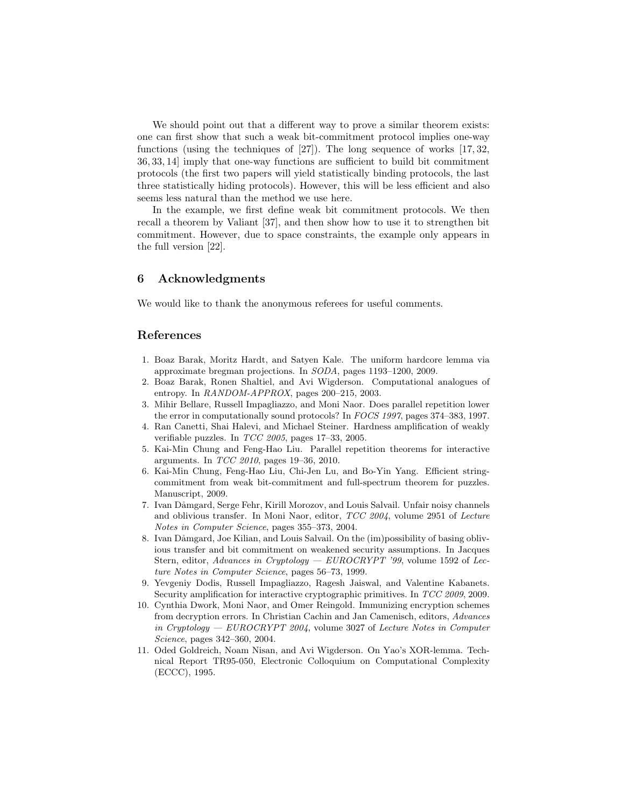We should point out that a different way to prove a similar theorem exists: one can first show that such a weak bit-commitment protocol implies one-way functions (using the techniques of [27]). The long sequence of works [17, 32, 36, 33, 14] imply that one-way functions are sufficient to build bit commitment protocols (the first two papers will yield statistically binding protocols, the last three statistically hiding protocols). However, this will be less efficient and also seems less natural than the method we use here.

In the example, we first define weak bit commitment protocols. We then recall a theorem by Valiant [37], and then show how to use it to strengthen bit commitment. However, due to space constraints, the example only appears in the full version [22].

### 6 Acknowledgments

We would like to thank the anonymous referees for useful comments.

# References

- 1. Boaz Barak, Moritz Hardt, and Satyen Kale. The uniform hardcore lemma via approximate bregman projections. In SODA, pages 1193–1200, 2009.
- 2. Boaz Barak, Ronen Shaltiel, and Avi Wigderson. Computational analogues of entropy. In RANDOM-APPROX, pages 200–215, 2003.
- 3. Mihir Bellare, Russell Impagliazzo, and Moni Naor. Does parallel repetition lower the error in computationally sound protocols? In FOCS 1997, pages 374–383, 1997.
- 4. Ran Canetti, Shai Halevi, and Michael Steiner. Hardness amplification of weakly verifiable puzzles. In TCC 2005, pages 17–33, 2005.
- 5. Kai-Min Chung and Feng-Hao Liu. Parallel repetition theorems for interactive arguments. In TCC 2010, pages 19–36, 2010.
- 6. Kai-Min Chung, Feng-Hao Liu, Chi-Jen Lu, and Bo-Yin Yang. Efficient stringcommitment from weak bit-commitment and full-spectrum theorem for puzzles. Manuscript, 2009.
- 7. Ivan Dåmgard, Serge Fehr, Kirill Morozov, and Louis Salvail. Unfair noisy channels and oblivious transfer. In Moni Naor, editor, TCC 2004, volume 2951 of Lecture Notes in Computer Science, pages 355–373, 2004.
- 8. Ivan Dåmgard, Joe Kilian, and Louis Salvail. On the (im)possibility of basing oblivious transfer and bit commitment on weakened security assumptions. In Jacques Stern, editor, Advances in Cryptology — EUROCRYPT '99, volume 1592 of Lecture Notes in Computer Science, pages 56–73, 1999.
- 9. Yevgeniy Dodis, Russell Impagliazzo, Ragesh Jaiswal, and Valentine Kabanets. Security amplification for interactive cryptographic primitives. In TCC 2009, 2009.
- 10. Cynthia Dwork, Moni Naor, and Omer Reingold. Immunizing encryption schemes from decryption errors. In Christian Cachin and Jan Camenisch, editors, Advances in Cryptology –  $EUROCRYPT 2004$ , volume 3027 of Lecture Notes in Computer Science, pages 342–360, 2004.
- 11. Oded Goldreich, Noam Nisan, and Avi Wigderson. On Yao's XOR-lemma. Technical Report TR95-050, Electronic Colloquium on Computational Complexity (ECCC), 1995.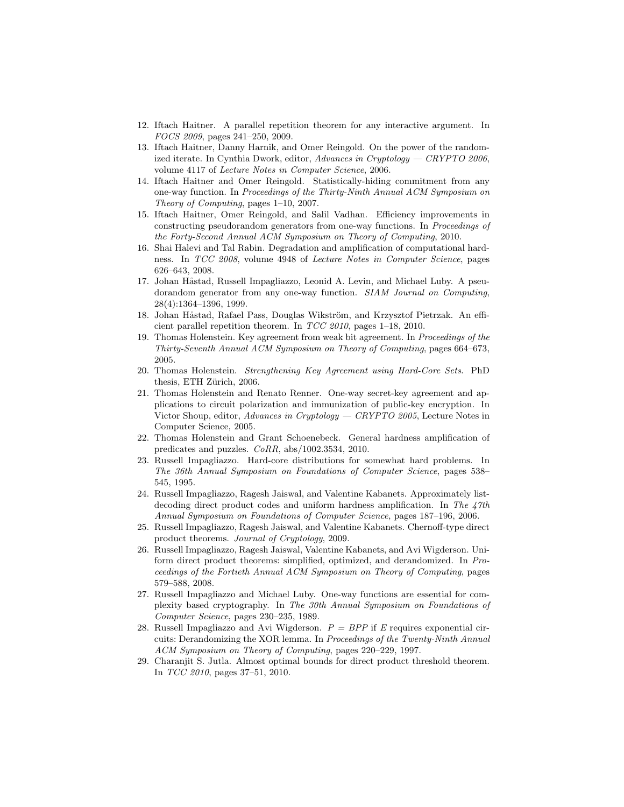- 12. Iftach Haitner. A parallel repetition theorem for any interactive argument. In FOCS 2009, pages 241–250, 2009.
- 13. Iftach Haitner, Danny Harnik, and Omer Reingold. On the power of the randomized iterate. In Cynthia Dwork, editor,  $Advances$  in Cryptology - CRYPTO 2006, volume 4117 of Lecture Notes in Computer Science, 2006.
- 14. Iftach Haitner and Omer Reingold. Statistically-hiding commitment from any one-way function. In Proceedings of the Thirty-Ninth Annual ACM Symposium on Theory of Computing, pages 1–10, 2007.
- 15. Iftach Haitner, Omer Reingold, and Salil Vadhan. Efficiency improvements in constructing pseudorandom generators from one-way functions. In Proceedings of the Forty-Second Annual ACM Symposium on Theory of Computing, 2010.
- 16. Shai Halevi and Tal Rabin. Degradation and amplification of computational hardness. In TCC 2008, volume 4948 of Lecture Notes in Computer Science, pages 626–643, 2008.
- 17. Johan Håstad, Russell Impagliazzo, Leonid A. Levin, and Michael Luby. A pseudorandom generator from any one-way function. SIAM Journal on Computing, 28(4):1364–1396, 1999.
- 18. Johan Håstad, Rafael Pass, Douglas Wikström, and Krzysztof Pietrzak. An efficient parallel repetition theorem. In TCC 2010, pages 1–18, 2010.
- 19. Thomas Holenstein. Key agreement from weak bit agreement. In Proceedings of the Thirty-Seventh Annual ACM Symposium on Theory of Computing, pages 664–673, 2005.
- 20. Thomas Holenstein. Strengthening Key Agreement using Hard-Core Sets. PhD thesis, ETH Zürich, 2006.
- 21. Thomas Holenstein and Renato Renner. One-way secret-key agreement and applications to circuit polarization and immunization of public-key encryption. In Victor Shoup, editor, Advances in Cryptology — CRYPTO 2005, Lecture Notes in Computer Science, 2005.
- 22. Thomas Holenstein and Grant Schoenebeck. General hardness amplification of predicates and puzzles. CoRR, abs/1002.3534, 2010.
- 23. Russell Impagliazzo. Hard-core distributions for somewhat hard problems. In The 36th Annual Symposium on Foundations of Computer Science, pages 538– 545, 1995.
- 24. Russell Impagliazzo, Ragesh Jaiswal, and Valentine Kabanets. Approximately listdecoding direct product codes and uniform hardness amplification. In The 47th Annual Symposium on Foundations of Computer Science, pages 187–196, 2006.
- 25. Russell Impagliazzo, Ragesh Jaiswal, and Valentine Kabanets. Chernoff-type direct product theorems. Journal of Cryptology, 2009.
- 26. Russell Impagliazzo, Ragesh Jaiswal, Valentine Kabanets, and Avi Wigderson. Uniform direct product theorems: simplified, optimized, and derandomized. In Proceedings of the Fortieth Annual ACM Symposium on Theory of Computing, pages 579–588, 2008.
- 27. Russell Impagliazzo and Michael Luby. One-way functions are essential for complexity based cryptography. In The 30th Annual Symposium on Foundations of Computer Science, pages 230–235, 1989.
- 28. Russell Impagliazzo and Avi Wigderson.  $P = BPP$  if E requires exponential circuits: Derandomizing the XOR lemma. In Proceedings of the Twenty-Ninth Annual ACM Symposium on Theory of Computing, pages 220–229, 1997.
- 29. Charanjit S. Jutla. Almost optimal bounds for direct product threshold theorem. In TCC 2010, pages 37–51, 2010.